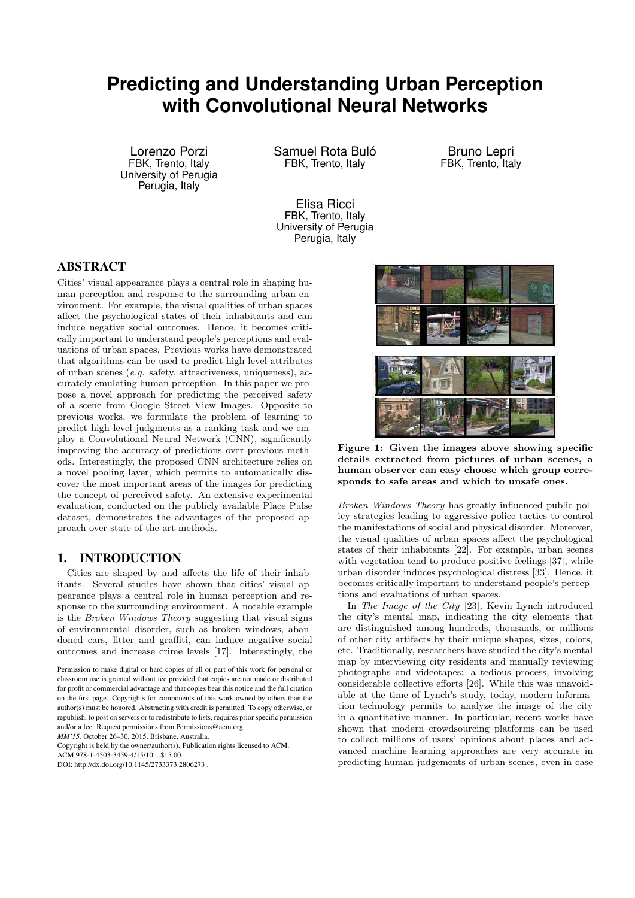# **Predicting and Understanding Urban Perception with Convolutional Neural Networks**

Lorenzo Porzi FBK, Trento, Italy University of Perugia Perugia, Italy

Samuel Rota Buló FBK, Trento, Italy

Bruno Lepri FBK, Trento, Italy

Elisa Ricci FBK, Trento, Italy University of Perugia Perugia, Italy

## ABSTRACT

Cities' visual appearance plays a central role in shaping human perception and response to the surrounding urban environment. For example, the visual qualities of urban spaces affect the psychological states of their inhabitants and can induce negative social outcomes. Hence, it becomes critically important to understand people's perceptions and evaluations of urban spaces. Previous works have demonstrated that algorithms can be used to predict high level attributes of urban scenes (e.g. safety, attractiveness, uniqueness), accurately emulating human perception. In this paper we propose a novel approach for predicting the perceived safety of a scene from Google Street View Images. Opposite to previous works, we formulate the problem of learning to predict high level judgments as a ranking task and we employ a Convolutional Neural Network (CNN), significantly improving the accuracy of predictions over previous methods. Interestingly, the proposed CNN architecture relies on a novel pooling layer, which permits to automatically discover the most important areas of the images for predicting the concept of perceived safety. An extensive experimental evaluation, conducted on the publicly available Place Pulse dataset, demonstrates the advantages of the proposed approach over state-of-the-art methods.

## 1. INTRODUCTION

Cities are shaped by and affects the life of their inhabitants. Several studies have shown that cities' visual appearance plays a central role in human perception and response to the surrounding environment. A notable example is the Broken Windows Theory suggesting that visual signs of environmental disorder, such as broken windows, abandoned cars, litter and graffiti, can induce negative social outcomes and increase crime levels [17]. Interestingly, the

*MM'15,* October 26–30, 2015, Brisbane, Australia.

Copyright is held by the owner/author(s). Publication rights licensed to ACM.

 $ACM$  978-1-4503-3459-4/15/10 \$15.00



Figure 1: Given the images above showing specific details extracted from pictures of urban scenes, a human observer can easy choose which group corresponds to safe areas and which to unsafe ones.

Broken Windows Theory has greatly influenced public policy strategies leading to aggressive police tactics to control the manifestations of social and physical disorder. Moreover, the visual qualities of urban spaces affect the psychological states of their inhabitants [22]. For example, urban scenes with vegetation tend to produce positive feelings [37], while urban disorder induces psychological distress [33]. Hence, it becomes critically important to understand people's perceptions and evaluations of urban spaces.

In The Image of the City [23], Kevin Lynch introduced the city's mental map, indicating the city elements that are distinguished among hundreds, thousands, or millions of other city artifacts by their unique shapes, sizes, colors, etc. Traditionally, researchers have studied the city's mental map by interviewing city residents and manually reviewing photographs and videotapes: a tedious process, involving considerable collective efforts [26]. While this was unavoidable at the time of Lynch's study, today, modern information technology permits to analyze the image of the city in a quantitative manner. In particular, recent works have shown that modern crowdsourcing platforms can be used to collect millions of users' opinions about places and advanced machine learning approaches are very accurate in predicting human judgements of urban scenes, even in case

Permission to make digital or hard copies of all or part of this work for personal or classroom use is granted without fee provided that copies are not made or distributed for profit or commercial advantage and that copies bear this notice and the full citation on the first page. Copyrights for components of this work owned by others than the author(s) must be honored. Abstracting with credit is permitted. To copy otherwise, or republish, to post on servers or to redistribute to lists, requires prior specific permission and/or a fee. Request permissions from Permissions@acm.org.

DOI: http://dx.doi.org/10.1145/2733373.2806273 .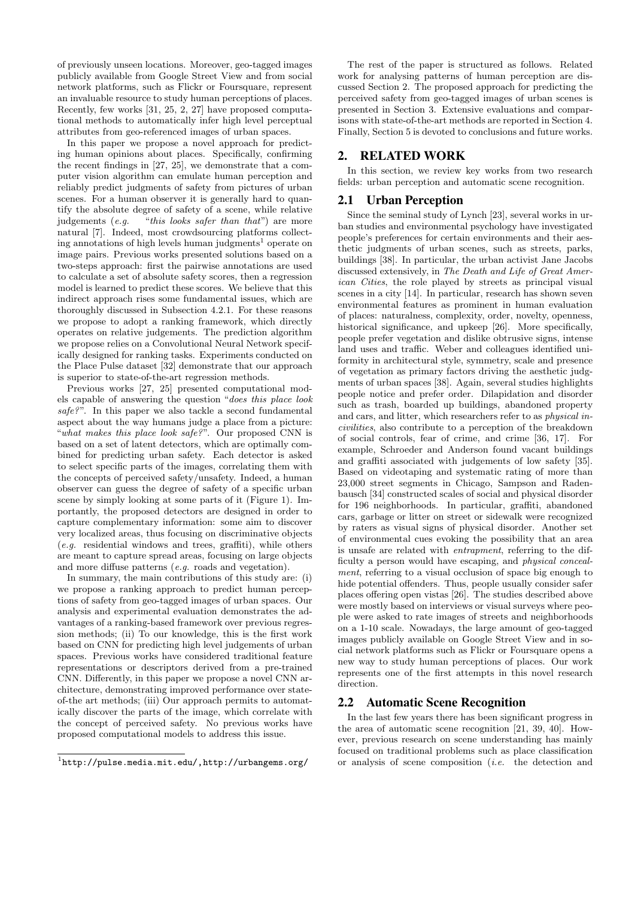of previously unseen locations. Moreover, geo-tagged images publicly available from Google Street View and from social network platforms, such as Flickr or Foursquare, represent an invaluable resource to study human perceptions of places. Recently, few works [31, 25, 2, 27] have proposed computational methods to automatically infer high level perceptual attributes from geo-referenced images of urban spaces.

In this paper we propose a novel approach for predicting human opinions about places. Specifically, confirming the recent findings in [27, 25], we demonstrate that a computer vision algorithm can emulate human perception and reliably predict judgments of safety from pictures of urban scenes. For a human observer it is generally hard to quantify the absolute degree of safety of a scene, while relative judgements (e.g. "this looks safer than that") are more natural [7]. Indeed, most crowdsourcing platforms collecting annotations of high levels human judgments<sup>1</sup> operate on image pairs. Previous works presented solutions based on a two-steps approach: first the pairwise annotations are used to calculate a set of absolute safety scores, then a regression model is learned to predict these scores. We believe that this indirect approach rises some fundamental issues, which are thoroughly discussed in Subsection 4.2.1. For these reasons we propose to adopt a ranking framework, which directly operates on relative judgements. The prediction algorithm we propose relies on a Convolutional Neural Network specifically designed for ranking tasks. Experiments conducted on the Place Pulse dataset [32] demonstrate that our approach is superior to state-of-the-art regression methods.

Previous works [27, 25] presented computational models capable of answering the question "does this place look safe?". In this paper we also tackle a second fundamental aspect about the way humans judge a place from a picture: "what makes this place look safe?". Our proposed CNN is based on a set of latent detectors, which are optimally combined for predicting urban safety. Each detector is asked to select specific parts of the images, correlating them with the concepts of perceived safety/unsafety. Indeed, a human observer can guess the degree of safety of a specific urban scene by simply looking at some parts of it (Figure 1). Importantly, the proposed detectors are designed in order to capture complementary information: some aim to discover very localized areas, thus focusing on discriminative objects (e.g. residential windows and trees, graffiti), while others are meant to capture spread areas, focusing on large objects and more diffuse patterns (e.g. roads and vegetation).

In summary, the main contributions of this study are: (i) we propose a ranking approach to predict human perceptions of safety from geo-tagged images of urban spaces. Our analysis and experimental evaluation demonstrates the advantages of a ranking-based framework over previous regression methods; (ii) To our knowledge, this is the first work based on CNN for predicting high level judgements of urban spaces. Previous works have considered traditional feature representations or descriptors derived from a pre-trained CNN. Differently, in this paper we propose a novel CNN architecture, demonstrating improved performance over stateof-the art methods; (iii) Our approach permits to automatically discover the parts of the image, which correlate with the concept of perceived safety. No previous works have proposed computational models to address this issue.

The rest of the paper is structured as follows. Related work for analysing patterns of human perception are discussed Section 2. The proposed approach for predicting the perceived safety from geo-tagged images of urban scenes is presented in Section 3. Extensive evaluations and comparisons with state-of-the-art methods are reported in Section 4. Finally, Section 5 is devoted to conclusions and future works.

## 2. RELATED WORK

In this section, we review key works from two research fields: urban perception and automatic scene recognition.

#### 2.1 Urban Perception

Since the seminal study of Lynch [23], several works in urban studies and environmental psychology have investigated people's preferences for certain environments and their aesthetic judgments of urban scenes, such as streets, parks, buildings [38]. In particular, the urban activist Jane Jacobs discussed extensively, in The Death and Life of Great American Cities, the role played by streets as principal visual scenes in a city [14]. In particular, research has shown seven environmental features as prominent in human evaluation of places: naturalness, complexity, order, novelty, openness, historical significance, and upkeep [26]. More specifically, people prefer vegetation and dislike obtrusive signs, intense land uses and traffic. Weber and colleagues identified uniformity in architectural style, symmetry, scale and presence of vegetation as primary factors driving the aesthetic judgments of urban spaces [38]. Again, several studies highlights people notice and prefer order. Dilapidation and disorder such as trash, boarded up buildings, abandoned property and cars, and litter, which researchers refer to as physical incivilities, also contribute to a perception of the breakdown of social controls, fear of crime, and crime [36, 17]. For example, Schroeder and Anderson found vacant buildings and graffiti associated with judgements of low safety [35]. Based on videotaping and systematic rating of more than 23,000 street segments in Chicago, Sampson and Radenbausch [34] constructed scales of social and physical disorder for 196 neighborhoods. In particular, graffiti, abandoned cars, garbage or litter on street or sidewalk were recognized by raters as visual signs of physical disorder. Another set of environmental cues evoking the possibility that an area is unsafe are related with entrapment, referring to the difficulty a person would have escaping, and physical concealment, referring to a visual occlusion of space big enough to hide potential offenders. Thus, people usually consider safer places offering open vistas [26]. The studies described above were mostly based on interviews or visual surveys where people were asked to rate images of streets and neighborhoods on a 1-10 scale. Nowadays, the large amount of geo-tagged images publicly available on Google Street View and in social network platforms such as Flickr or Foursquare opens a new way to study human perceptions of places. Our work represents one of the first attempts in this novel research direction.

## 2.2 Automatic Scene Recognition

In the last few years there has been significant progress in the area of automatic scene recognition [21, 39, 40]. However, previous research on scene understanding has mainly focused on traditional problems such as place classification or analysis of scene composition (i.e. the detection and

 $1$ http://pulse.media.mit.edu/,http://urbangems.org/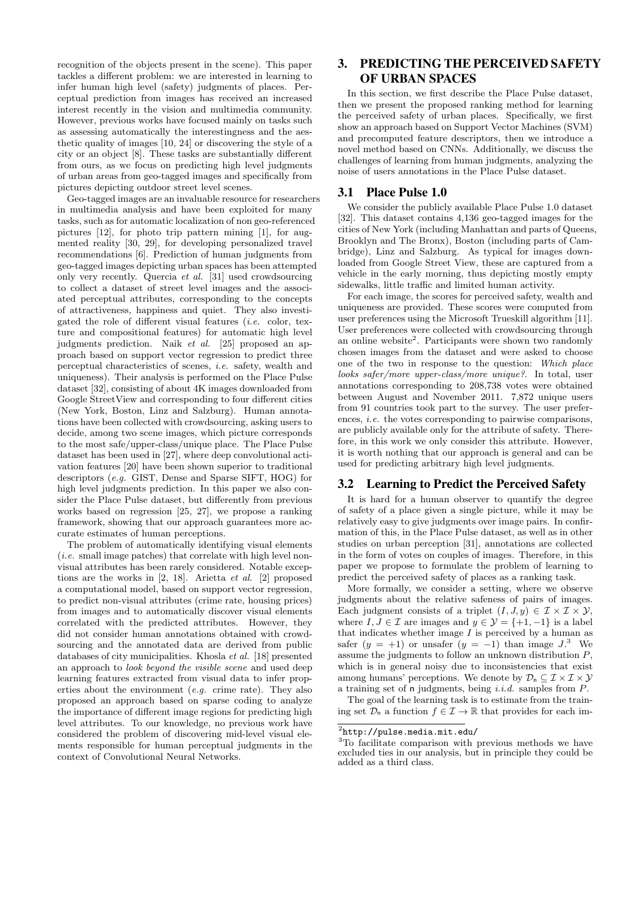recognition of the objects present in the scene). This paper tackles a different problem: we are interested in learning to infer human high level (safety) judgments of places. Perceptual prediction from images has received an increased interest recently in the vision and multimedia community. However, previous works have focused mainly on tasks such as assessing automatically the interestingness and the aesthetic quality of images [10, 24] or discovering the style of a city or an object [8]. These tasks are substantially different from ours, as we focus on predicting high level judgments of urban areas from geo-tagged images and specifically from pictures depicting outdoor street level scenes.

Geo-tagged images are an invaluable resource for researchers in multimedia analysis and have been exploited for many tasks, such as for automatic localization of non geo-referenced pictures [12], for photo trip pattern mining [1], for augmented reality [30, 29], for developing personalized travel recommendations [6]. Prediction of human judgments from geo-tagged images depicting urban spaces has been attempted only very recently. Quercia et al. [31] used crowdsourcing to collect a dataset of street level images and the associated perceptual attributes, corresponding to the concepts of attractiveness, happiness and quiet. They also investigated the role of different visual features (*i.e.* color, texture and compositional features) for automatic high level judgments prediction. Naik et al. [25] proposed an approach based on support vector regression to predict three perceptual characteristics of scenes, i.e. safety, wealth and uniqueness). Their analysis is performed on the Place Pulse dataset [32], consisting of about 4K images downloaded from Google StreetView and corresponding to four different cities (New York, Boston, Linz and Salzburg). Human annotations have been collected with crowdsourcing, asking users to decide, among two scene images, which picture corresponds to the most safe/upper-class/unique place. The Place Pulse dataset has been used in [27], where deep convolutional activation features [20] have been shown superior to traditional descriptors (e.g. GIST, Dense and Sparse SIFT, HOG) for high level judgments prediction. In this paper we also consider the Place Pulse dataset, but differently from previous works based on regression [25, 27], we propose a ranking framework, showing that our approach guarantees more accurate estimates of human perceptions.

The problem of automatically identifying visual elements  $(i.e.$  small image patches) that correlate with high level nonvisual attributes has been rarely considered. Notable exceptions are the works in [2, 18]. Arietta et al. [2] proposed a computational model, based on support vector regression, to predict non-visual attributes (crime rate, housing prices) from images and to automatically discover visual elements correlated with the predicted attributes. However, they did not consider human annotations obtained with crowdsourcing and the annotated data are derived from public databases of city municipalities. Khosla et al. [18] presented an approach to look beyond the visible scene and used deep learning features extracted from visual data to infer properties about the environment (e.g. crime rate). They also proposed an approach based on sparse coding to analyze the importance of different image regions for predicting high level attributes. To our knowledge, no previous work have considered the problem of discovering mid-level visual elements responsible for human perceptual judgments in the context of Convolutional Neural Networks.

# 3. PREDICTING THE PERCEIVED SAFETY OF URBAN SPACES

In this section, we first describe the Place Pulse dataset, then we present the proposed ranking method for learning the perceived safety of urban places. Specifically, we first show an approach based on Support Vector Machines (SVM) and precomputed feature descriptors, then we introduce a novel method based on CNNs. Additionally, we discuss the challenges of learning from human judgments, analyzing the noise of users annotations in the Place Pulse dataset.

### 3.1 Place Pulse 1.0

We consider the publicly available Place Pulse 1.0 dataset [32]. This dataset contains 4,136 geo-tagged images for the cities of New York (including Manhattan and parts of Queens, Brooklyn and The Bronx), Boston (including parts of Cambridge), Linz and Salzburg. As typical for images downloaded from Google Street View, these are captured from a vehicle in the early morning, thus depicting mostly empty sidewalks, little traffic and limited human activity.

For each image, the scores for perceived safety, wealth and uniqueness are provided. These scores were computed from user preferences using the Microsoft Trueskill algorithm [11]. User preferences were collected with crowdsourcing through an online website<sup>2</sup>. Participants were shown two randomly chosen images from the dataset and were asked to choose one of the two in response to the question: Which place looks safer/more upper-class/more unique?. In total, user annotations corresponding to 208,738 votes were obtained between August and November 2011. 7,872 unique users from 91 countries took part to the survey. The user preferences, i.e. the votes corresponding to pairwise comparisons, are publicly available only for the attribute of safety. Therefore, in this work we only consider this attribute. However, it is worth nothing that our approach is general and can be used for predicting arbitrary high level judgments.

## 3.2 Learning to Predict the Perceived Safety

It is hard for a human observer to quantify the degree of safety of a place given a single picture, while it may be relatively easy to give judgments over image pairs. In confirmation of this, in the Place Pulse dataset, as well as in other studies on urban perception [31], annotations are collected in the form of votes on couples of images. Therefore, in this paper we propose to formulate the problem of learning to predict the perceived safety of places as a ranking task.

More formally, we consider a setting, where we observe judgments about the relative safeness of pairs of images. Each judgment consists of a triplet  $(I, J, y) \in \mathcal{I} \times \mathcal{I} \times \mathcal{Y}$ , where  $I, J \in \mathcal{I}$  are images and  $y \in \mathcal{Y} = \{+1, -1\}$  is a label that indicates whether image  $I$  is perceived by a human as safer  $(y = +1)$  or unsafer  $(y = -1)$  than image  $J^3$ . We assume the judgments to follow an unknown distribution  $P$ , which is in general noisy due to inconsistencies that exist among humans' perceptions. We denote by  $\mathcal{D}_n \subset \mathcal{I} \times \mathcal{I} \times \mathcal{Y}$ a training set of n judgments, being i.i.d. samples from P.

The goal of the learning task is to estimate from the training set  $\mathcal{D}_n$  a function  $f \in \mathcal{I} \to \mathbb{R}$  that provides for each im-

 $^{2}$ http://pulse.media.mit.edu/

<sup>3</sup>To facilitate comparison with previous methods we have excluded ties in our analysis, but in principle they could be added as a third class.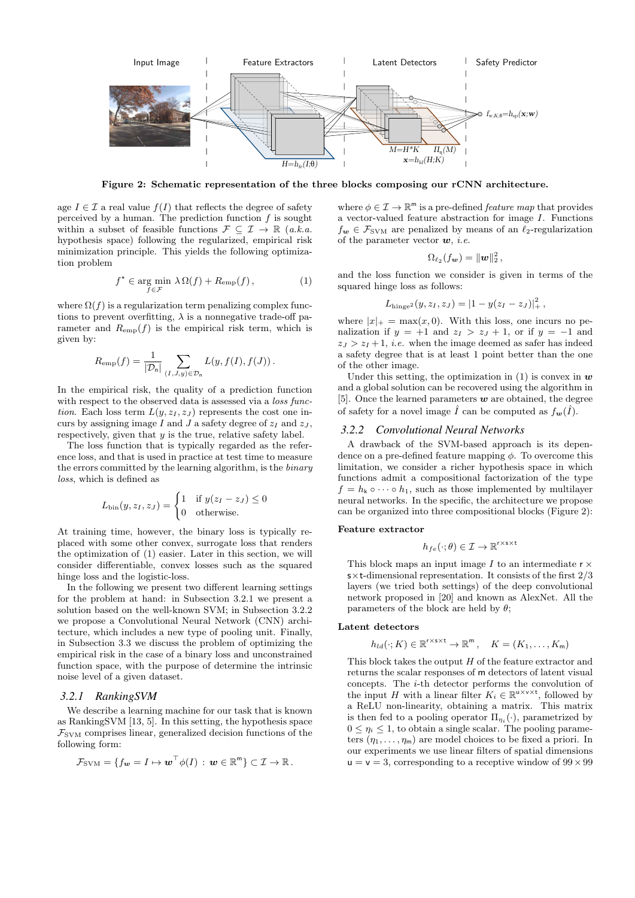

Figure 2: Schematic representation of the three blocks composing our rCNN architecture.

age  $I \in \mathcal{I}$  a real value  $f(I)$  that reflects the degree of safety perceived by a human. The prediction function  $f$  is sought within a subset of feasible functions  $\mathcal{F} \subseteq \mathcal{I} \to \mathbb{R}$  (a.k.a. hypothesis space) following the regularized, empirical risk minimization principle. This yields the following optimization problem

$$
f^* \in \underset{f \in \mathcal{F}}{\arg \min} \lambda \Omega(f) + R_{\text{emp}}(f) , \qquad (1)
$$

where  $\Omega(f)$  is a regularization term penalizing complex functions to prevent overfitting,  $\lambda$  is a nonnegative trade-off parameter and  $R_{\text{emp}}(f)$  is the empirical risk term, which is given by:

$$
R_{\text{emp}}(f) = \frac{1}{|\mathcal{D}_n|} \sum_{(I,J,y) \in \mathcal{D}_n} L(y, f(I), f(J)).
$$

In the empirical risk, the quality of a prediction function with respect to the observed data is assessed via a *loss func*tion. Each loss term  $L(y, z_I, z_J)$  represents the cost one incurs by assigning image  $I$  and  $J$  a safety degree of  $z_I$  and  $z_J$ , respectively, given that  $y$  is the true, relative safety label.

The loss function that is typically regarded as the reference loss, and that is used in practice at test time to measure the errors committed by the learning algorithm, is the binary loss, which is defined as

$$
L_{\text{bin}}(y, z_I, z_J) = \begin{cases} 1 & \text{if } y(z_I - z_J) \leq 0 \\ 0 & \text{otherwise.} \end{cases}
$$

At training time, however, the binary loss is typically replaced with some other convex, surrogate loss that renders the optimization of (1) easier. Later in this section, we will consider differentiable, convex losses such as the squared hinge loss and the logistic-loss.

In the following we present two different learning settings for the problem at hand: in Subsection 3.2.1 we present a solution based on the well-known SVM; in Subsection 3.2.2 we propose a Convolutional Neural Network (CNN) architecture, which includes a new type of pooling unit. Finally, in Subsection 3.3 we discuss the problem of optimizing the empirical risk in the case of a binary loss and unconstrained function space, with the purpose of determine the intrinsic noise level of a given dataset.

#### *3.2.1 RankingSVM*

We describe a learning machine for our task that is known as RankingSVM [13, 5]. In this setting, the hypothesis space  $\mathcal{F}_{\text{SVM}}$  comprises linear, generalized decision functions of the following form:

$$
\mathcal{F}_{\text{SVM}} = \{ f_{\boldsymbol{w}} = I \mapsto \boldsymbol{w}^\top \phi(I) \, : \, \boldsymbol{w} \in \mathbb{R}^m \} \subset \mathcal{I} \to \mathbb{R} \, .
$$

where  $\phi \in \mathcal{I} \to \mathbb{R}^m$  is a pre-defined *feature map* that provides a vector-valued feature abstraction for image I. Functions  $f_w \in \mathcal{F}_{\text{SVM}}$  are penalized by means of an  $\ell_2$ -regularization of the parameter vector  $w$ , *i.e.* 

$$
\Omega_{\ell_2}(f_{\boldsymbol{w}})=\|\boldsymbol{w}\|_2^2\,,
$$

and the loss function we consider is given in terms of the squared hinge loss as follows:

$$
L_{\rm hinge^2}(y, z_I, z_J) = |1 - y(z_I - z_J)|_+^2,
$$

where  $|x|_{+} = \max(x, 0)$ . With this loss, one incurs no penalization if  $y = +1$  and  $z_1 > z_1 + 1$ , or if  $y = -1$  and  $z_J > z_I + 1$ , *i.e.* when the image deemed as safer has indeed a safety degree that is at least 1 point better than the one of the other image.

Under this setting, the optimization in  $(1)$  is convex in  $w$ and a global solution can be recovered using the algorithm in [5]. Once the learned parameters  $w$  are obtained, the degree of safety for a novel image  $\hat{I}$  can be computed as  $f_{\boldsymbol{w}}(\hat{I})$ .

#### *3.2.2 Convolutional Neural Networks*

A drawback of the SVM-based approach is its dependence on a pre-defined feature mapping  $\phi$ . To overcome this limitation, we consider a richer hypothesis space in which functions admit a compositional factorization of the type  $f = h_k \circ \cdots \circ h_1$ , such as those implemented by multilayer neural networks. In the specific, the architecture we propose can be organized into three compositional blocks (Figure 2):

#### Feature extractor

$$
h_{fe}(\cdot; \theta) \in \mathcal{I} \to \mathbb{R}^{r \times s \times t}
$$

This block maps an input image I to an intermediate  $r \times$  $s \times t$ -dimensional representation. It consists of the first  $2/3$ layers (we tried both settings) of the deep convolutional network proposed in [20] and known as AlexNet. All the parameters of the block are held by  $\theta$ ;

#### Latent detectors

$$
h_{ld}(\cdot; K) \in \mathbb{R}^{r \times s \times t} \to \mathbb{R}^m, \quad K = (K_1, \dots, K_m)
$$

This block takes the output  $H$  of the feature extractor and returns the scalar responses of m detectors of latent visual concepts. The i-th detector performs the convolution of the input H with a linear filter  $K_i \in \mathbb{R}^{\mathsf{u} \times \mathsf{v} \times \mathsf{t}}$ , followed by a ReLU non-linearity, obtaining a matrix. This matrix is then fed to a pooling operator  $\Pi_{\eta_i}(\cdot)$ , parametrized by  $0 \leq \eta_i \leq 1$ , to obtain a single scalar. The pooling parameters  $(\eta_1, \ldots, \eta_m)$  are model choices to be fixed a priori. In our experiments we use linear filters of spatial dimensions  $u = v = 3$ , corresponding to a receptive window of  $99 \times 99$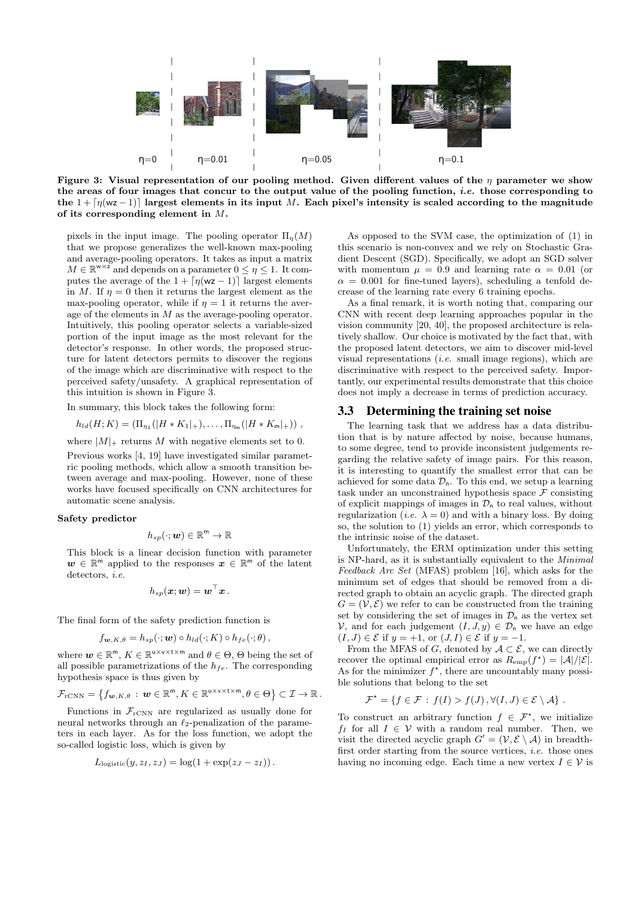

Figure 3: Visual representation of our pooling method. Given different values of the  $\eta$  parameter we show the areas of four images that concur to the output value of the pooling function, *i.e.* those corresponding to the  $1 + \lceil \eta(wz - 1) \rceil$  largest elements in its input M. Each pixel's intensity is scaled according to the magnitude of its corresponding element in M.

pixels in the input image. The pooling operator  $\Pi_n(M)$ that we propose generalizes the well-known max-pooling and average-pooling operators. It takes as input a matrix  $M \in \mathbb{R}^{w \times z}$  and depends on a parameter  $0 \leq \eta \leq 1$ . It computes the average of the  $1 + \lceil \eta(\mathsf{wz} - 1) \rceil$  largest elements in M. If  $\eta = 0$  then it returns the largest element as the max-pooling operator, while if  $\eta = 1$  it returns the average of the elements in M as the average-pooling operator. Intuitively, this pooling operator selects a variable-sized portion of the input image as the most relevant for the detector's response. In other words, the proposed structure for latent detectors permits to discover the regions of the image which are discriminative with respect to the perceived safety/unsafety. A graphical representation of this intuition is shown in Figure 3.

In summary, this block takes the following form:

$$
h_{ld}(H;K)=(\Pi_{\eta_1}(|H*K_1|_+),\ldots,\Pi_{\eta_m}(|H*K_m|_+))
$$

where  $|M|_+$  returns M with negative elements set to 0.

Previous works [4, 19] have investigated similar parametric pooling methods, which allow a smooth transition between average and max-pooling. However, none of these works have focused specifically on CNN architectures for automatic scene analysis.

#### Safety predictor

$$
h_{sp}(\cdot;{\bm{w}})\in\mathbb{R}^{\mathsf{m}}\to\mathbb{R}
$$

This block is a linear decision function with parameter  $w \in \mathbb{R}^m$  applied to the responses  $x \in \mathbb{R}^m$  of the latent detectors, *i.e.* 

$$
h_{sp}(\boldsymbol{x};\boldsymbol{w}) = \boldsymbol{w}^\top \boldsymbol{x} \, .
$$

The final form of the safety prediction function is

$$
f_{\mathbf{w}, K, \theta} = h_{sp}(\cdot; \mathbf{w}) \circ h_{ld}(\cdot; K) \circ h_{fe}(\cdot; \theta),
$$

where  $w \in \mathbb{R}^m$ ,  $K \in \mathbb{R}^{u \times v \times t \times m}$  and  $\theta \in \Theta$ ,  $\Theta$  being the set of all possible parametrizations of the  $h_{fe}$ . The corresponding hypothesis space is thus given by

$$
\mathcal{F}_{r\text{CNN}} = \left\{ f_{\boldsymbol{w},K,\theta} \, : \, \boldsymbol{w} \in \mathbb{R}^m, K \in \mathbb{R}^{u \times v \times t \times m}, \theta \in \Theta \right\} \subset \mathcal{I} \to \mathbb{R}.
$$

Functions in  $\mathcal{F}_{rCNN}$  are regularized as usually done for neural networks through an  $\ell_2$ -penalization of the parameters in each layer. As for the loss function, we adopt the so-called logistic loss, which is given by

$$
L_{\text{logistic}}(y, z_I, z_J) = \log(1 + \exp(z_J - z_I)).
$$

As opposed to the SVM case, the optimization of (1) in this scenario is non-convex and we rely on Stochastic Gradient Descent (SGD). Specifically, we adopt an SGD solver with momentum  $\mu = 0.9$  and learning rate  $\alpha = 0.01$  (or  $\alpha = 0.001$  for fine-tuned layers), scheduling a tenfold decrease of the learning rate every 6 training epochs.

As a final remark, it is worth noting that, comparing our CNN with recent deep learning approaches popular in the vision community [20, 40], the proposed architecture is relatively shallow. Our choice is motivated by the fact that, with the proposed latent detectors, we aim to discover mid-level visual representations (*i.e.* small image regions), which are discriminative with respect to the perceived safety. Importantly, our experimental results demonstrate that this choice does not imply a decrease in terms of prediction accuracy.

#### 3.3 Determining the training set noise

The learning task that we address has a data distribution that is by nature affected by noise, because humans, to some degree, tend to provide inconsistent judgements regarding the relative safety of image pairs. For this reason, it is interesting to quantify the smallest error that can be achieved for some data  $\mathcal{D}_n$ . To this end, we setup a learning task under an unconstrained hypothesis space  $\mathcal F$  consisting of explicit mappings of images in  $\mathcal{D}_n$  to real values, without regularization (*i.e.*  $\lambda = 0$ ) and with a binary loss. By doing so, the solution to (1) yields an error, which corresponds to the intrinsic noise of the dataset.

Unfortunately, the ERM optimization under this setting is NP-hard, as it is substantially equivalent to the Minimal Feedback Arc Set (MFAS) problem [16], which asks for the minimum set of edges that should be removed from a directed graph to obtain an acyclic graph. The directed graph  $G = (\mathcal{V}, \mathcal{E})$  we refer to can be constructed from the training set by considering the set of images in  $\mathcal{D}_n$  as the vertex set  $V$ , and for each judgement  $(I, J, y) \in \mathcal{D}_{n}$  we have an edge  $(I, J) \in \mathcal{E}$  if  $y = +1$ , or  $(J, I) \in \mathcal{E}$  if  $y = -1$ .

From the MFAS of G, denoted by  $A \subset \mathcal{E}$ , we can directly recover the optimal empirical error as  $R_{\text{emp}}(f^*) = |\mathcal{A}|/|\mathcal{E}|$ . As for the minimizer  $f^*$ , there are uncountably many possible solutions that belong to the set

$$
\mathcal{F}^{\star} = \{ f \in \mathcal{F} : f(I) > f(J), \forall (I, J) \in \mathcal{E} \setminus \mathcal{A} \}.
$$

To construct an arbitrary function  $f \in \mathcal{F}^*$ , we initialize  $f_I$  for all  $I \in \mathcal{V}$  with a random real number. Then, we visit the directed acyclic graph  $G' = (\mathcal{V}, \mathcal{E} \setminus \mathcal{A})$  in breadthfirst order starting from the source vertices, *i.e.* those ones having no incoming edge. Each time a new vertex  $I \in \mathcal{V}$  is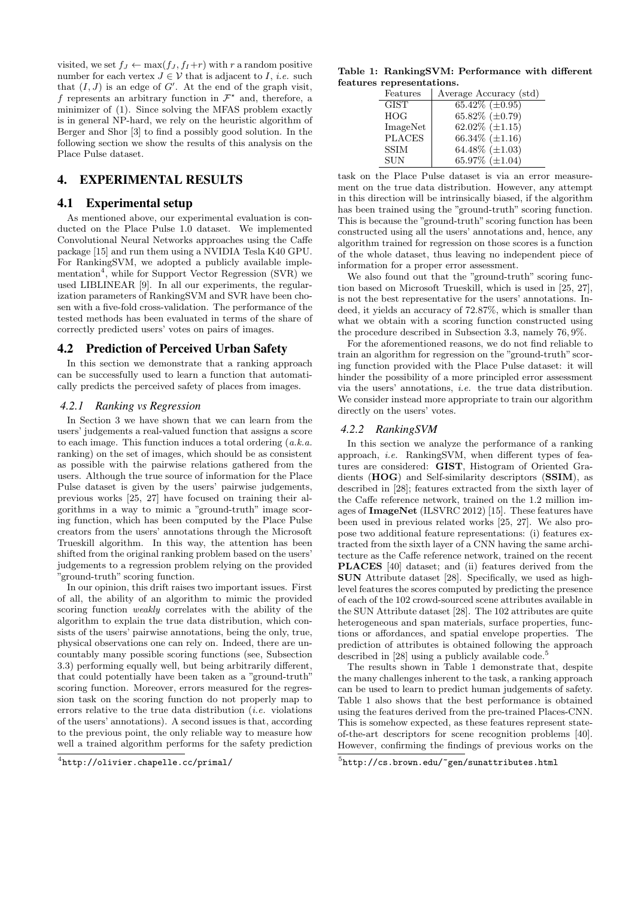visited, we set  $f_J \leftarrow \max(f_J, f_I+r)$  with r a random positive number for each vertex  $J \in V$  that is adjacent to I, *i.e.* such that  $(I, J)$  is an edge of  $G'$ . At the end of the graph visit, f represents an arbitrary function in  $\mathcal{F}^*$  and, therefore, a minimizer of (1). Since solving the MFAS problem exactly is in general NP-hard, we rely on the heuristic algorithm of Berger and Shor [3] to find a possibly good solution. In the following section we show the results of this analysis on the Place Pulse dataset.

## 4. EXPERIMENTAL RESULTS

#### 4.1 Experimental setup

As mentioned above, our experimental evaluation is conducted on the Place Pulse 1.0 dataset. We implemented Convolutional Neural Networks approaches using the Caffe package [15] and run them using a NVIDIA Tesla K40 GPU. For RankingSVM, we adopted a publicly available implementation<sup>4</sup>, while for Support Vector Regression (SVR) we used LIBLINEAR [9]. In all our experiments, the regularization parameters of RankingSVM and SVR have been chosen with a five-fold cross-validation. The performance of the tested methods has been evaluated in terms of the share of correctly predicted users' votes on pairs of images.

## 4.2 Prediction of Perceived Urban Safety

In this section we demonstrate that a ranking approach can be successfully used to learn a function that automatically predicts the perceived safety of places from images.

#### *4.2.1 Ranking vs Regression*

In Section 3 we have shown that we can learn from the users' judgements a real-valued function that assigns a score to each image. This function induces a total ordering  $(a,k,a)$ . ranking) on the set of images, which should be as consistent as possible with the pairwise relations gathered from the users. Although the true source of information for the Place Pulse dataset is given by the users' pairwise judgements, previous works [25, 27] have focused on training their algorithms in a way to mimic a "ground-truth" image scoring function, which has been computed by the Place Pulse creators from the users' annotations through the Microsoft Trueskill algorithm. In this way, the attention has been shifted from the original ranking problem based on the users' judgements to a regression problem relying on the provided "ground-truth" scoring function.

In our opinion, this drift raises two important issues. First of all, the ability of an algorithm to mimic the provided scoring function weakly correlates with the ability of the algorithm to explain the true data distribution, which consists of the users' pairwise annotations, being the only, true, physical observations one can rely on. Indeed, there are uncountably many possible scoring functions (see, Subsection 3.3) performing equally well, but being arbitrarily different, that could potentially have been taken as a "ground-truth" scoring function. Moreover, errors measured for the regression task on the scoring function do not properly map to errors relative to the true data distribution *(i.e.* violations) of the users' annotations). A second issues is that, according to the previous point, the only reliable way to measure how well a trained algorithm performs for the safety prediction

Table 1: RankingSVM: Performance with different features representations.

| Features      | Average Accuracy (std) |  |  |  |
|---------------|------------------------|--|--|--|
| <b>GIST</b>   | 65.42\% $(\pm 0.95)$   |  |  |  |
| HOG           | 65.82% $(\pm 0.79)$    |  |  |  |
| ImageNet      | 62.02\% $(\pm 1.15)$   |  |  |  |
| <b>PLACES</b> | 66.34\% $(\pm 1.16)$   |  |  |  |
| <b>SSIM</b>   | 64.48% $(\pm 1.03)$    |  |  |  |
| <b>SUN</b>    | 65.97% $(\pm 1.04)$    |  |  |  |
|               |                        |  |  |  |

task on the Place Pulse dataset is via an error measurement on the true data distribution. However, any attempt in this direction will be intrinsically biased, if the algorithm has been trained using the "ground-truth" scoring function. This is because the "ground-truth" scoring function has been constructed using all the users' annotations and, hence, any algorithm trained for regression on those scores is a function of the whole dataset, thus leaving no independent piece of information for a proper error assessment.

We also found out that the "ground-truth" scoring function based on Microsoft Trueskill, which is used in [25, 27], is not the best representative for the users' annotations. Indeed, it yields an accuracy of 72.87%, which is smaller than what we obtain with a scoring function constructed using the procedure described in Subsection 3.3, namely 76, 9%.

For the aforementioned reasons, we do not find reliable to train an algorithm for regression on the "ground-truth" scoring function provided with the Place Pulse dataset: it will hinder the possibility of a more principled error assessment via the users' annotations, i.e. the true data distribution. We consider instead more appropriate to train our algorithm directly on the users' votes.

#### *4.2.2 RankingSVM*

In this section we analyze the performance of a ranking approach, i.e. RankingSVM, when different types of features are considered: GIST, Histogram of Oriented Gradients (HOG) and Self-similarity descriptors (SSIM), as described in [28]; features extracted from the sixth layer of the Caffe reference network, trained on the 1.2 million images of ImageNet (ILSVRC 2012) [15]. These features have been used in previous related works [25, 27]. We also propose two additional feature representations: (i) features extracted from the sixth layer of a CNN having the same architecture as the Caffe reference network, trained on the recent PLACES [40] dataset; and (ii) features derived from the SUN Attribute dataset [28]. Specifically, we used as highlevel features the scores computed by predicting the presence of each of the 102 crowd-sourced scene attributes available in the SUN Attribute dataset [28]. The 102 attributes are quite heterogeneous and span materials, surface properties, functions or affordances, and spatial envelope properties. The prediction of attributes is obtained following the approach described in [28] using a publicly available code.<sup>5</sup>

The results shown in Table 1 demonstrate that, despite the many challenges inherent to the task, a ranking approach can be used to learn to predict human judgements of safety. Table 1 also shows that the best performance is obtained using the features derived from the pre-trained Places-CNN. This is somehow expected, as these features represent stateof-the-art descriptors for scene recognition problems [40]. However, confirming the findings of previous works on the

<sup>4</sup> http://olivier.chapelle.cc/primal/

 $5$ http://cs.brown.edu/~gen/sunattributes.html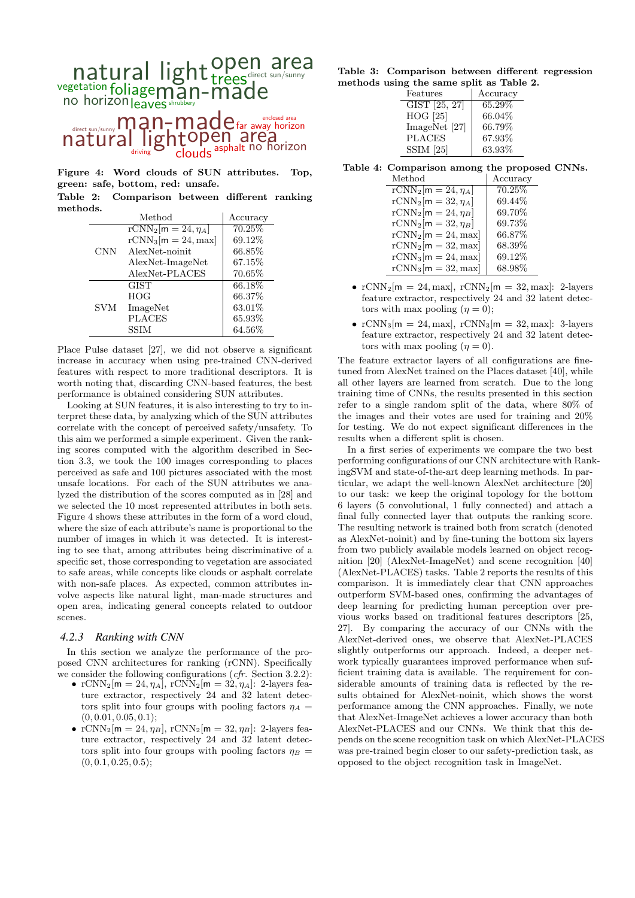

Figure 4: Word clouds of SUN attributes. Top, green: safe, bottom, red: unsafe.

Table 2: Comparison between different ranking methods.

|            | Method                   | Accuracy |
|------------|--------------------------|----------|
| <b>CNN</b> | $rCNN_2[m = 24, \eta_A]$ | 70.25%   |
|            | $rCNN3[m = 24, max]$     | 69.12%   |
|            | AlexNet-noinit           | 66.85%   |
|            | AlexNet-ImageNet         | 67.15%   |
|            | AlexNet-PLACES           | 70.65%   |
| SVM        | <b>GIST</b>              | 66.18%   |
|            | HOG                      | 66.37%   |
|            | ImageNet                 | 63.01%   |
|            | <b>PLACES</b>            | 65.93%   |
|            | SSIM                     | 64.56%   |

Place Pulse dataset [27], we did not observe a significant increase in accuracy when using pre-trained CNN-derived features with respect to more traditional descriptors. It is worth noting that, discarding CNN-based features, the best performance is obtained considering SUN attributes.

Looking at SUN features, it is also interesting to try to interpret these data, by analyzing which of the SUN attributes correlate with the concept of perceived safety/unsafety. To this aim we performed a simple experiment. Given the ranking scores computed with the algorithm described in Section 3.3, we took the 100 images corresponding to places perceived as safe and 100 pictures associated with the most unsafe locations. For each of the SUN attributes we analyzed the distribution of the scores computed as in [28] and we selected the 10 most represented attributes in both sets. Figure 4 shows these attributes in the form of a word cloud, where the size of each attribute's name is proportional to the number of images in which it was detected. It is interesting to see that, among attributes being discriminative of a specific set, those corresponding to vegetation are associated to safe areas, while concepts like clouds or asphalt correlate with non-safe places. As expected, common attributes involve aspects like natural light, man-made structures and open area, indicating general concepts related to outdoor scenes.

#### *4.2.3 Ranking with CNN*

In this section we analyze the performance of the proposed CNN architectures for ranking (rCNN). Specifically we consider the following configurations (*cfr.* Section 3.2.2):

- rCNN<sub>2</sub>[m = 24,  $\eta_A$ ], rCNN<sub>2</sub>[m = 32,  $\eta_A$ ]: 2-layers feature extractor, respectively 24 and 32 latent detectors split into four groups with pooling factors  $\eta_A$  $(0, 0.01, 0.05, 0.1);$
- rCNN<sub>2</sub>[m = 24,  $\eta_B$ ], rCNN<sub>2</sub>[m = 32,  $\eta_B$ ]: 2-layers feature extractor, respectively 24 and 32 latent detectors split into four groups with pooling factors  $\eta_B$  =  $(0, 0.1, 0.25, 0.5);$

Table 3: Comparison between different regression methods using the same split as Table 2.

| Features        | Accuracy |
|-----------------|----------|
| GIST [25, 27]   | 65.29%   |
| <b>HOG</b> [25] | 66.04%   |
| ImageNet [27]   | 66.79%   |
| <b>PLACES</b>   | 67.93%   |
| $SSIM$ [25]     | 63.93%   |

| Table 4: Comparison among the proposed CNNs. |  |  |
|----------------------------------------------|--|--|
|                                              |  |  |

| Method                                         | Accuracy |
|------------------------------------------------|----------|
| $\overline{\text{rCNN}}_2$ [m = 24, $\eta_A$ ] | 70.25\%  |
| $rCNN_2[m = 32, \eta_A]$                       | 69.44%   |
| $rCNN_2[m = 24, \eta_B]$                       | 69.70%   |
| $rCNN_2[m = 32, \eta_B]$                       | 69.73%   |
| $rCNN_2[m = 24, max]$                          | 66.87%   |
| $rCNN_2[m = 32, max]$                          | 68.39%   |
| $rCNN3[m = 24, max]$                           | 69.12%   |
| $rCNN3[m = 32, max]$                           | 68.98%   |

- $rCNN_2[m = 24, max]$ ,  $rCNN_2[m = 32, max]$ : 2-layers feature extractor, respectively 24 and 32 latent detectors with max pooling  $(\eta = 0)$ ;
- $rCNN_3[m = 24, max]$ ,  $rCNN_3[m = 32, max]$ : 3-layers feature extractor, respectively 24 and 32 latent detectors with max pooling  $(\eta = 0)$ .

The feature extractor layers of all configurations are finetuned from AlexNet trained on the Places dataset [40], while all other layers are learned from scratch. Due to the long training time of CNNs, the results presented in this section refer to a single random split of the data, where 80% of the images and their votes are used for training and 20% for testing. We do not expect significant differences in the results when a different split is chosen.

In a first series of experiments we compare the two best performing configurations of our CNN architecture with RankingSVM and state-of-the-art deep learning methods. In particular, we adapt the well-known AlexNet architecture [20] to our task: we keep the original topology for the bottom 6 layers (5 convolutional, 1 fully connected) and attach a final fully connected layer that outputs the ranking score. The resulting network is trained both from scratch (denoted as AlexNet-noinit) and by fine-tuning the bottom six layers from two publicly available models learned on object recognition [20] (AlexNet-ImageNet) and scene recognition [40] (AlexNet-PLACES) tasks. Table 2 reports the results of this comparison. It is immediately clear that CNN approaches outperform SVM-based ones, confirming the advantages of deep learning for predicting human perception over previous works based on traditional features descriptors [25, 27]. By comparing the accuracy of our CNNs with the AlexNet-derived ones, we observe that AlexNet-PLACES slightly outperforms our approach. Indeed, a deeper network typically guarantees improved performance when sufficient training data is available. The requirement for considerable amounts of training data is reflected by the results obtained for AlexNet-noinit, which shows the worst performance among the CNN approaches. Finally, we note that AlexNet-ImageNet achieves a lower accuracy than both AlexNet-PLACES and our CNNs. We think that this depends on the scene recognition task on which AlexNet-PLACES was pre-trained begin closer to our safety-prediction task, as opposed to the object recognition task in ImageNet.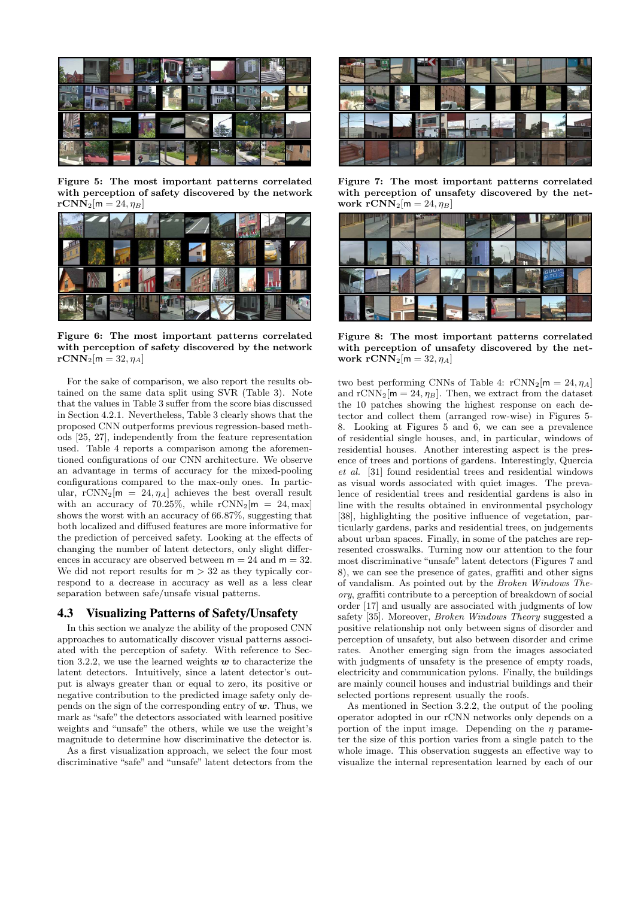

Figure 5: The most important patterns correlated with perception of safety discovered by the network  $rCNN_2[m = 24, \eta_B]$ 



Figure 6: The most important patterns correlated with perception of safety discovered by the network  $\mathbf{rCNN}_2[m = 32, \eta_A]$ 

For the sake of comparison, we also report the results obtained on the same data split using SVR (Table 3). Note that the values in Table 3 suffer from the score bias discussed in Section 4.2.1. Nevertheless, Table 3 clearly shows that the proposed CNN outperforms previous regression-based methods [25, 27], independently from the feature representation used. Table 4 reports a comparison among the aforementioned configurations of our CNN architecture. We observe an advantage in terms of accuracy for the mixed-pooling configurations compared to the max-only ones. In particular, rCNN<sub>2</sub>[m = 24,  $\eta_A$ ] achieves the best overall result with an accuracy of 70.25%, while  $rCNN_2|m = 24, max$ shows the worst with an accuracy of 66.87%, suggesting that both localized and diffused features are more informative for the prediction of perceived safety. Looking at the effects of changing the number of latent detectors, only slight differences in accuracy are observed between  $m = 24$  and  $m = 32$ . We did not report results for  $m > 32$  as they typically correspond to a decrease in accuracy as well as a less clear separation between safe/unsafe visual patterns.

## 4.3 Visualizing Patterns of Safety/Unsafety

In this section we analyze the ability of the proposed CNN approaches to automatically discover visual patterns associated with the perception of safety. With reference to Section 3.2.2, we use the learned weights  $w$  to characterize the latent detectors. Intuitively, since a latent detector's output is always greater than or equal to zero, its positive or negative contribution to the predicted image safety only depends on the sign of the corresponding entry of  $w$ . Thus, we mark as "safe" the detectors associated with learned positive weights and "unsafe" the others, while we use the weight's magnitude to determine how discriminative the detector is.

As a first visualization approach, we select the four most discriminative "safe" and "unsafe" latent detectors from the



Figure 7: The most important patterns correlated with perception of unsafety discovered by the network  $\mathbf{rCNN}_2[\mathsf{m} = 24, \eta_B]$ 



Figure 8: The most important patterns correlated with perception of unsafety discovered by the network  $\mathbf{rCNN}_2[m = 32, \eta_A]$ 

two best performing CNNs of Table 4:  $rCNN_2[m = 24, \eta_A]$ and rCNN<sub>2</sub>[m = 24,  $\eta_B$ ]. Then, we extract from the dataset the 10 patches showing the highest response on each detector and collect them (arranged row-wise) in Figures 5- 8. Looking at Figures 5 and 6, we can see a prevalence of residential single houses, and, in particular, windows of residential houses. Another interesting aspect is the presence of trees and portions of gardens. Interestingly, Quercia et al. [31] found residential trees and residential windows as visual words associated with quiet images. The prevalence of residential trees and residential gardens is also in line with the results obtained in environmental psychology [38], highlighting the positive influence of vegetation, particularly gardens, parks and residential trees, on judgements about urban spaces. Finally, in some of the patches are represented crosswalks. Turning now our attention to the four most discriminative "unsafe" latent detectors (Figures 7 and 8), we can see the presence of gates, graffiti and other signs of vandalism. As pointed out by the Broken Windows Theory, graffiti contribute to a perception of breakdown of social order [17] and usually are associated with judgments of low safety [35]. Moreover, Broken Windows Theory suggested a positive relationship not only between signs of disorder and perception of unsafety, but also between disorder and crime rates. Another emerging sign from the images associated with judgments of unsafety is the presence of empty roads, electricity and communication pylons. Finally, the buildings are mainly council houses and industrial buildings and their selected portions represent usually the roofs.

As mentioned in Section 3.2.2, the output of the pooling operator adopted in our rCNN networks only depends on a portion of the input image. Depending on the  $\eta$  parameter the size of this portion varies from a single patch to the whole image. This observation suggests an effective way to visualize the internal representation learned by each of our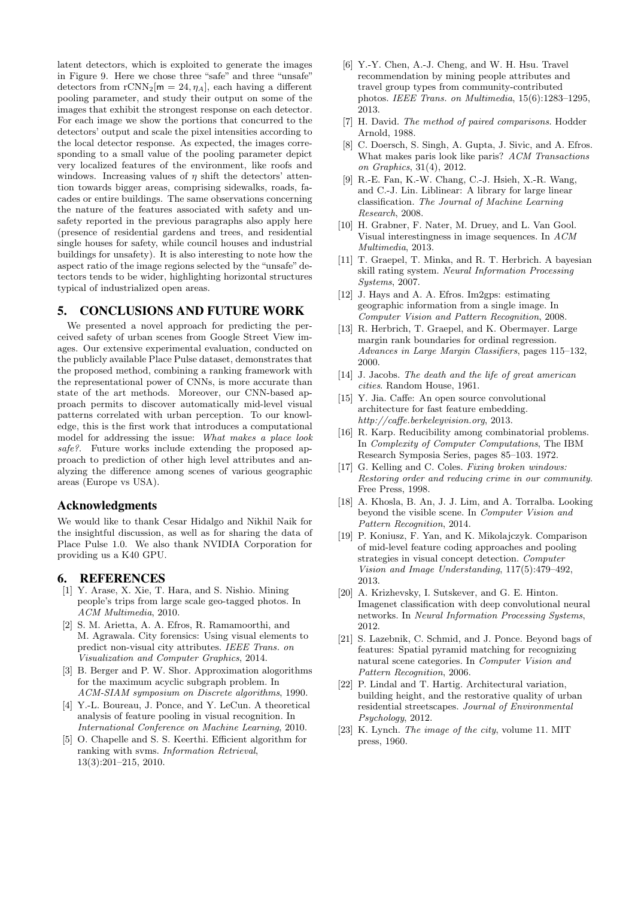latent detectors, which is exploited to generate the images in Figure 9. Here we chose three "safe" and three "unsafe" detectors from rCNN<sub>2</sub>[m = 24,  $\eta_A$ ], each having a different pooling parameter, and study their output on some of the images that exhibit the strongest response on each detector. For each image we show the portions that concurred to the detectors' output and scale the pixel intensities according to the local detector response. As expected, the images corresponding to a small value of the pooling parameter depict very localized features of the environment, like roofs and windows. Increasing values of  $\eta$  shift the detectors' attention towards bigger areas, comprising sidewalks, roads, facades or entire buildings. The same observations concerning the nature of the features associated with safety and unsafety reported in the previous paragraphs also apply here (presence of residential gardens and trees, and residential single houses for safety, while council houses and industrial buildings for unsafety). It is also interesting to note how the aspect ratio of the image regions selected by the "unsafe" detectors tends to be wider, highlighting horizontal structures typical of industrialized open areas.

## 5. CONCLUSIONS AND FUTURE WORK

We presented a novel approach for predicting the perceived safety of urban scenes from Google Street View images. Our extensive experimental evaluation, conducted on the publicly available Place Pulse dataset, demonstrates that the proposed method, combining a ranking framework with the representational power of CNNs, is more accurate than state of the art methods. Moreover, our CNN-based approach permits to discover automatically mid-level visual patterns correlated with urban perception. To our knowledge, this is the first work that introduces a computational model for addressing the issue: What makes a place look safe?. Future works include extending the proposed approach to prediction of other high level attributes and analyzing the difference among scenes of various geographic areas (Europe vs USA).

#### Acknowledgments

We would like to thank Cesar Hidalgo and Nikhil Naik for the insightful discussion, as well as for sharing the data of Place Pulse 1.0. We also thank NVIDIA Corporation for providing us a K40 GPU.

#### 6. REFERENCES

- [1] Y. Arase, X. Xie, T. Hara, and S. Nishio. Mining people's trips from large scale geo-tagged photos. In ACM Multimedia, 2010.
- [2] S. M. Arietta, A. A. Efros, R. Ramamoorthi, and M. Agrawala. City forensics: Using visual elements to predict non-visual city attributes. IEEE Trans. on Visualization and Computer Graphics, 2014.
- [3] B. Berger and P. W. Shor. Approximation alogorithms for the maximum acyclic subgraph problem. In ACM-SIAM symposium on Discrete algorithms, 1990.
- [4] Y.-L. Boureau, J. Ponce, and Y. LeCun. A theoretical analysis of feature pooling in visual recognition. In International Conference on Machine Learning, 2010.
- [5] O. Chapelle and S. S. Keerthi. Efficient algorithm for ranking with svms. Information Retrieval, 13(3):201–215, 2010.
- [6] Y.-Y. Chen, A.-J. Cheng, and W. H. Hsu. Travel recommendation by mining people attributes and travel group types from community-contributed photos. IEEE Trans. on Multimedia, 15(6):1283–1295, 2013.
- [7] H. David. The method of paired comparisons. Hodder Arnold, 1988.
- [8] C. Doersch, S. Singh, A. Gupta, J. Sivic, and A. Efros. What makes paris look like paris? ACM Transactions on Graphics, 31(4), 2012.
- [9] R.-E. Fan, K.-W. Chang, C.-J. Hsieh, X.-R. Wang, and C.-J. Lin. Liblinear: A library for large linear classification. The Journal of Machine Learning Research, 2008.
- [10] H. Grabner, F. Nater, M. Druey, and L. Van Gool. Visual interestingness in image sequences. In ACM Multimedia, 2013.
- [11] T. Graepel, T. Minka, and R. T. Herbrich. A bayesian skill rating system. Neural Information Processing Systems, 2007.
- [12] J. Hays and A. A. Efros. Im2gps: estimating geographic information from a single image. In Computer Vision and Pattern Recognition, 2008.
- [13] R. Herbrich, T. Graepel, and K. Obermayer. Large margin rank boundaries for ordinal regression. Advances in Large Margin Classifiers, pages 115–132, 2000.
- [14] J. Jacobs. The death and the life of great american cities. Random House, 1961.
- [15] Y. Jia. Caffe: An open source convolutional architecture for fast feature embedding. http://caffe.berkeleyvision.org, 2013.
- [16] R. Karp. Reducibility among combinatorial problems. In Complexity of Computer Computations, The IBM Research Symposia Series, pages 85–103. 1972.
- [17] G. Kelling and C. Coles. Fixing broken windows: Restoring order and reducing crime in our community. Free Press, 1998.
- [18] A. Khosla, B. An, J. J. Lim, and A. Torralba. Looking beyond the visible scene. In Computer Vision and Pattern Recognition, 2014.
- [19] P. Koniusz, F. Yan, and K. Mikolajczyk. Comparison of mid-level feature coding approaches and pooling strategies in visual concept detection. Computer Vision and Image Understanding, 117(5):479–492, 2013.
- [20] A. Krizhevsky, I. Sutskever, and G. E. Hinton. Imagenet classification with deep convolutional neural networks. In Neural Information Processing Systems, 2012.
- [21] S. Lazebnik, C. Schmid, and J. Ponce. Beyond bags of features: Spatial pyramid matching for recognizing natural scene categories. In Computer Vision and Pattern Recognition, 2006.
- [22] P. Lindal and T. Hartig. Architectural variation, building height, and the restorative quality of urban residential streetscapes. Journal of Environmental Psychology, 2012.
- [23] K. Lynch. The image of the city, volume 11. MIT press, 1960.